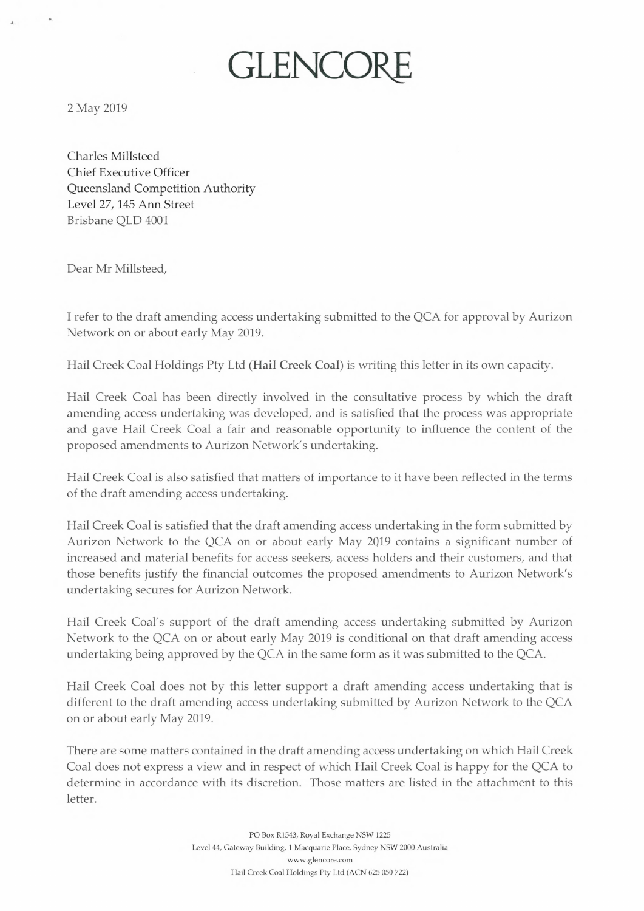2 May 2019

Charles Millsteed Chief Executive Officer Queensland Competition Authority Level 27, 145 Ann Street Brisbane QLD 4001

Dear Mr Millsteed,

I refer to the draft amending access undertaking submitted to the QCA for approval by Aurizon Network on or about early May 2019.

Hail Creek Coal Holdings Pty Ltd (Hail Creek Coal) is writing this letter in its own capacity.

GLENCOR

Hail Creek Coal has been directly involved in the consultative process by which the draft amending access undertaking was developed, and is satisfied that the process was appropriate and gave Hail Creek Coal a fair and reasonable opportunity to influence the content of the proposed amendments to Aurizon Network's undertaking.

Hail Creek Coal is also satisfied that matters of importance to it have been reflected in the terms of the draft amending access undertaking.

Hail Creek Coal is satisfied that the draft amending access undertaking in the form submitted by Aurizon Network to the QCA on or about early May 2019 contains a significant number of increased and material benefits for access seekers, access holders and their customers, and that those benefits justify the financial outcomes the proposed amendments to Aurizon Network's undertaking secures for Aurizon Network.

Hail Creek Coal's support of the draft amending access undertaking submitted by Aurizon Network to the QCA on or about early May 2019 is conditional on that draft amending access undertaking being approved by the QCA in the same form as it was submitted to the QCA.

Hail Creek Coal does not by this letter support a draft amending access undertaking that is different to the draft amending access undertaking submitted by Aurizon Network to the QCA on or about early May 2019.

There are some matters contained in the draft amending access undertaking on which Hail Creek Coal does not express a view and in respect of which Hail Creek Coal is happy for the QCA to determine in accordance with its discretion. Those matters are listed in the attachment to this letter.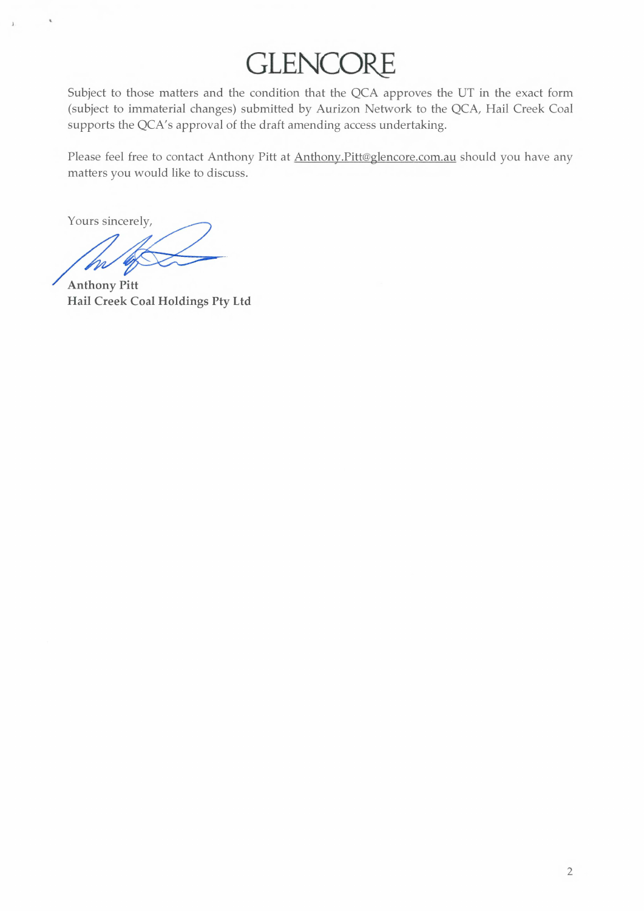## **GLENCORE**

Subject to those matters and the condition that the QCA approves the UT in the exact form (subject to immaterial changes) submitted by Aurizon Network to the QCA, Hail Creek Coal supports the QCA's approval of the draft amending access undertaking.

Please feel free to contact Anthony Pitt at Anthony.Pitt@glencore.com.au should you have any matters you would like to discuss.

Yours sincerely,

**Anthony Pitt Hail Creek Coal Holdings Pty Ltd**